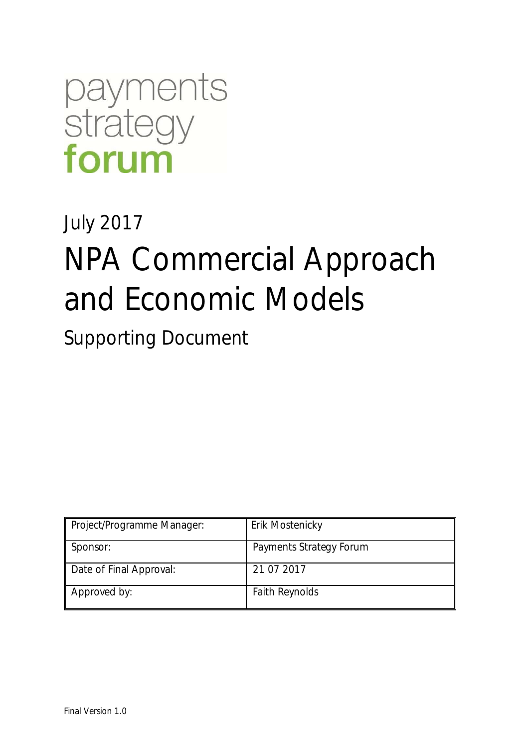

# July 2017 NPA Commercial Approach and Economic Models

Supporting Document

| Project/Programme Manager: | Erik Mostenicky         |
|----------------------------|-------------------------|
| Sponsor:                   | Payments Strategy Forum |
| Date of Final Approval:    | 21 07 2017              |
| Approved by:               | <b>Faith Reynolds</b>   |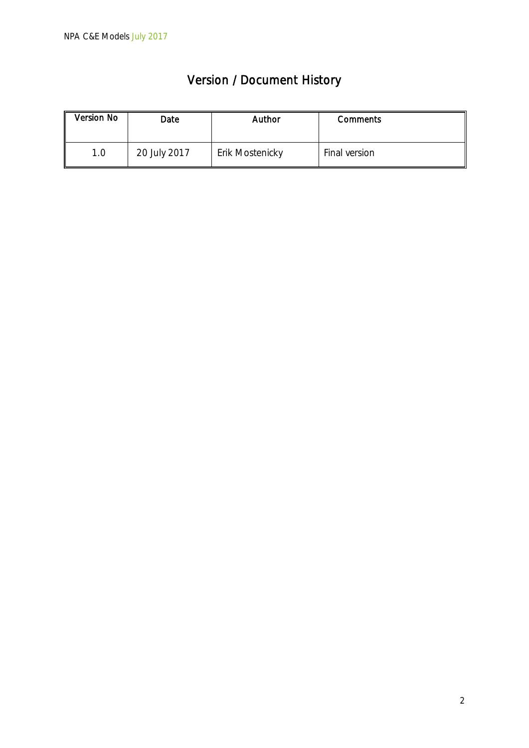| <b>Version / Document History</b> |  |
|-----------------------------------|--|
|-----------------------------------|--|

| <b>Version No</b> | Date         | Author          | <b>Comments</b> |
|-------------------|--------------|-----------------|-----------------|
| 1.0               | 20 July 2017 | Erik Mostenicky | Final version   |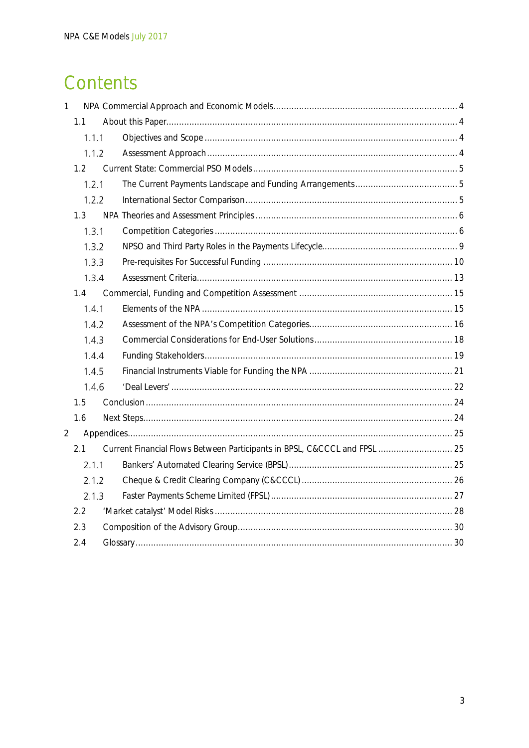# Contents

| 1 |       |                                                                           |  |
|---|-------|---------------------------------------------------------------------------|--|
|   | 1.1   |                                                                           |  |
|   | 1.1.1 |                                                                           |  |
|   | 1.1.2 |                                                                           |  |
|   | 1.2   |                                                                           |  |
|   | 1.2.1 |                                                                           |  |
|   | 1.2.2 |                                                                           |  |
|   | 1.3   |                                                                           |  |
|   | 1.3.1 |                                                                           |  |
|   | 1.3.2 |                                                                           |  |
|   | 1.3.3 |                                                                           |  |
|   | 1.3.4 |                                                                           |  |
|   | 1.4   |                                                                           |  |
|   | 1.4.1 |                                                                           |  |
|   | 1.4.7 |                                                                           |  |
|   | 1.4.3 |                                                                           |  |
|   | 1.4.4 |                                                                           |  |
|   | 1.4.5 |                                                                           |  |
|   | 1.4.6 |                                                                           |  |
|   | 1.5   |                                                                           |  |
|   | 1.6   |                                                                           |  |
| 2 |       |                                                                           |  |
|   | 2.1   | Current Financial Flows Between Participants in BPSL, C&CCCL and FPSL  25 |  |
|   | 2.1.1 |                                                                           |  |
|   | 2.1.2 |                                                                           |  |
|   | 2.1.3 |                                                                           |  |
|   | 2.2   |                                                                           |  |
|   | 2.3   |                                                                           |  |
|   | 2.4   |                                                                           |  |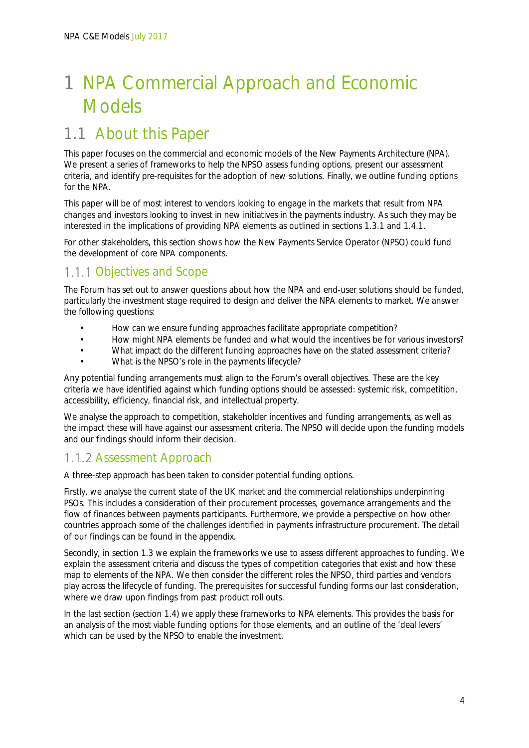# 1 NPA Commercial Approach and Economic Models

# 1.1 About this Paper

This paper focuses on the commercial and economic models of the New Payments Architecture (NPA). We present a series of frameworks to help the NPSO assess funding options, present our assessment criteria, and identify pre-requisites for the adoption of new solutions. Finally, we outline funding options for the NPA.

This paper will be of most interest to vendors looking to engage in the markets that result from NPA changes and investors looking to invest in new initiatives in the payments industry. As such they may be interested in the implications of providing NPA elements as outlined in sections 1.3.1 and 1.4.1.

For other stakeholders, this section shows how the New Payments Service Operator (NPSO) could fund the development of core NPA components.

# 1.1.1 Objectives and Scope

The Forum has set out to answer questions about how the NPA and end-user solutions should be funded, particularly the investment stage required to design and deliver the NPA elements to market. We answer the following questions:

- How can we ensure funding approaches facilitate appropriate competition?
- How might NPA elements be funded and what would the incentives be for various investors?
- What impact do the different funding approaches have on the stated assessment criteria?
- What is the NPSO's role in the payments lifecycle?

Any potential funding arrangements must align to the Forum's overall objectives. These are the key criteria we have identified against which funding options should be assessed: systemic risk, competition, accessibility, efficiency, financial risk, and intellectual property.

We analyse the approach to competition, stakeholder incentives and funding arrangements, as well as the impact these will have against our assessment criteria. The NPSO will decide upon the funding models and our findings should inform their decision.

# 1.1.2 Assessment Approach

A three-step approach has been taken to consider potential funding options.

Firstly, we analyse the current state of the UK market and the commercial relationships underpinning PSOs. This includes a consideration of their procurement processes, governance arrangements and the flow of finances between payments participants. Furthermore, we provide a perspective on how other countries approach some of the challenges identified in payments infrastructure procurement. The detail of our findings can be found in the appendix.

Secondly, in section 1.3 we explain the frameworks we use to assess different approaches to funding. We explain the assessment criteria and discuss the types of competition categories that exist and how these map to elements of the NPA. We then consider the different roles the NPSO, third parties and vendors play across the lifecycle of funding. The prerequisites for successful funding forms our last consideration, where we draw upon findings from past product roll outs.

In the last section (section 1.4) we apply these frameworks to NPA elements. This provides the basis for an analysis of the most viable funding options for those elements, and an outline of the 'deal levers' which can be used by the NPSO to enable the investment.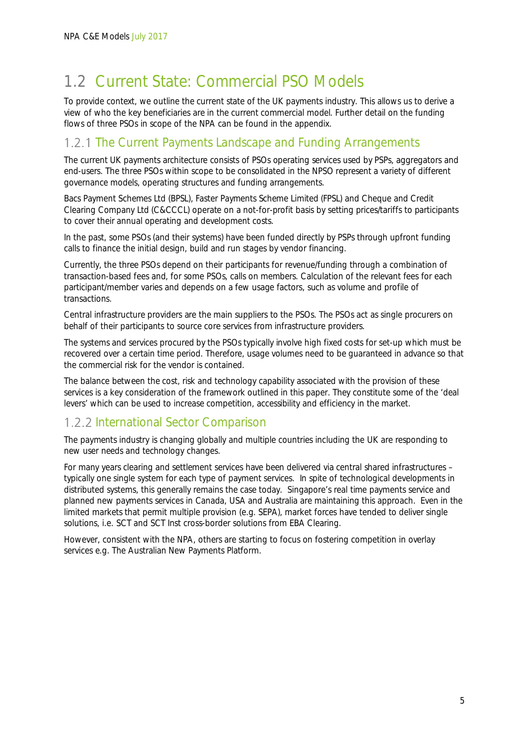# 1.2 Current State: Commercial PSO Models

To provide context, we outline the current state of the UK payments industry. This allows us to derive a view of who the key beneficiaries are in the current commercial model. Further detail on the funding flows of three PSOs in scope of the NPA can be found in the appendix.

### 1.2.1 The Current Payments Landscape and Funding Arrangements

The current UK payments architecture consists of PSOs operating services used by PSPs, aggregators and end-users. The three PSOs within scope to be consolidated in the NPSO represent a variety of different governance models, operating structures and funding arrangements.

Bacs Payment Schemes Ltd (BPSL), Faster Payments Scheme Limited (FPSL) and Cheque and Credit Clearing Company Ltd (C&CCCL) operate on a not-for-profit basis by setting prices/tariffs to participants to cover their annual operating and development costs.

In the past, some PSOs (and their systems) have been funded directly by PSPs through upfront funding calls to finance the initial design, build and run stages by vendor financing.

Currently, the three PSOs depend on their participants for revenue/funding through a combination of transaction-based fees and, for some PSOs, calls on members. Calculation of the relevant fees for each participant/member varies and depends on a few usage factors, such as volume and profile of transactions.

Central infrastructure providers are the main suppliers to the PSOs. The PSOs act as single procurers on behalf of their participants to source core services from infrastructure providers.

The systems and services procured by the PSOs typically involve high fixed costs for set-up which must be recovered over a certain time period. Therefore, usage volumes need to be guaranteed in advance so that the commercial risk for the vendor is contained.

The balance between the cost, risk and technology capability associated with the provision of these services is a key consideration of the framework outlined in this paper. They constitute some of the 'deal levers' which can be used to increase competition, accessibility and efficiency in the market.

### 1.2.2 International Sector Comparison

The payments industry is changing globally and multiple countries including the UK are responding to new user needs and technology changes.

For many years clearing and settlement services have been delivered via central shared infrastructures – typically one single system for each type of payment services. In spite of technological developments in distributed systems, this generally remains the case today. Singapore's real time payments service and planned new payments services in Canada, USA and Australia are maintaining this approach. Even in the limited markets that permit multiple provision (e.g. SEPA), market forces have tended to deliver single solutions, i.e. SCT and SCT Inst cross-border solutions from EBA Clearing.

However, consistent with the NPA, others are starting to focus on fostering competition in overlay services e.g. The Australian New Payments Platform.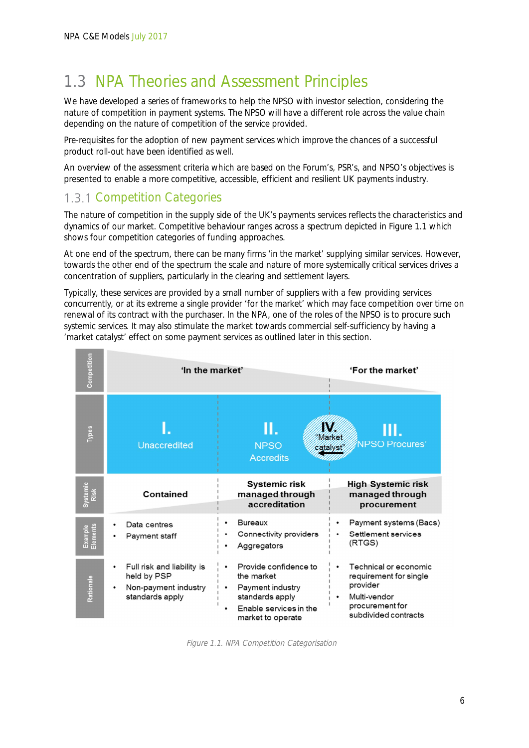# 1.3 NPA Theories and Assessment Principles

We have developed a series of frameworks to help the NPSO with investor selection, considering the nature of competition in payment systems. The NPSO will have a different role across the value chain depending on the nature of competition of the service provided.

Pre-requisites for the adoption of new payment services which improve the chances of a successful product roll-out have been identified as well.

An overview of the assessment criteria which are based on the Forum's, PSR's, and NPSO's objectives is presented to enable a more competitive, accessible, efficient and resilient UK payments industry.

# 1.3.1 Competition Categories

**The Country of the Country** 

The nature of competition in the supply side of the UK's payments services reflects the characteristics and dynamics of our market. Competitive behaviour ranges across a spectrum depicted in Figure 1.1 which shows four competition categories of funding approaches.

At one end of the spectrum, there can be many firms 'in the market' supplying similar services. However, towards the other end of the spectrum the scale and nature of more systemically critical services drives a concentration of suppliers, particularly in the clearing and settlement layers.

Typically, these services are provided by a small number of suppliers with a few providing services concurrently, or at its extreme a single provider 'for the market' which may face competition over time on renewal of its contract with the purchaser. In the NPA, one of the roles of the NPSO is to procure such systemic services. It may also stimulate the market towards commercial self-sufficiency by having a 'market catalyst' effect on some payment services as outlined later in this section.

| Competitio          | 'In the market'                                                                      | 'For the market'                                                                                                                                                                                                                                    |
|---------------------|--------------------------------------------------------------------------------------|-----------------------------------------------------------------------------------------------------------------------------------------------------------------------------------------------------------------------------------------------------|
| Types               | <b>Unaccredited</b>                                                                  | larket<br><b>NPSO Procures'</b><br><b>NPSO</b><br>catalyst<br><b>Accredits</b>                                                                                                                                                                      |
| Systemic<br>Risk    | <b>Contained</b>                                                                     | <b>Systemic risk</b><br><b>High Systemic risk</b><br>managed through<br>managed through<br>accreditation<br>procurement                                                                                                                             |
| Example<br>Elements | Data centres<br>Payment staff                                                        | Payment systems (Bacs)<br><b>Bureaux</b><br>Settlement services<br>Connectivity providers<br>(RTGS)<br>Aggregators                                                                                                                                  |
| Rationale           | Full risk and liability is<br>held by PSP<br>Non-payment industry<br>standards apply | Technical or economic<br>Provide confidence to<br>the market<br>requirement for single<br>provider<br>Payment industry<br>standards apply<br>Multi-vendor<br>procurement for<br>Enable services in the<br>subdivided contracts<br>market to operate |

Figure 1.1. NPA Competition Categorisation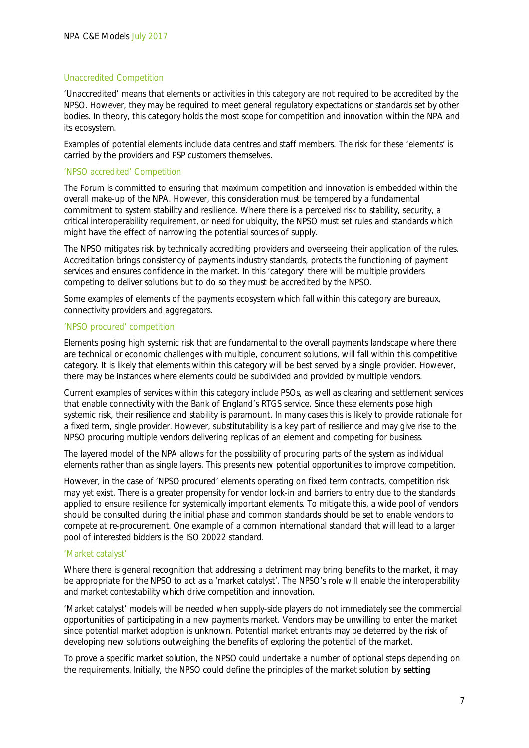#### Unaccredited Competition

'Unaccredited' means that elements or activities in this category are not required to be accredited by the NPSO. However, they may be required to meet general regulatory expectations or standards set by other bodies. In theory, this category holds the most scope for competition and innovation within the NPA and its ecosystem.

Examples of potential elements include data centres and staff members. The risk for these 'elements' is carried by the providers and PSP customers themselves.

#### 'NPSO accredited' Competition

The Forum is committed to ensuring that maximum competition and innovation is embedded within the overall make-up of the NPA. However, this consideration must be tempered by a fundamental commitment to system stability and resilience. Where there is a perceived risk to stability, security, a critical interoperability requirement, or need for ubiquity, the NPSO must set rules and standards which might have the effect of narrowing the potential sources of supply.

The NPSO mitigates risk by technically accrediting providers and overseeing their application of the rules. Accreditation brings consistency of payments industry standards, protects the functioning of payment services and ensures confidence in the market. In this 'category' there will be multiple providers competing to deliver solutions but to do so they must be accredited by the NPSO.

Some examples of elements of the payments ecosystem which fall within this category are bureaux, connectivity providers and aggregators.

#### 'NPSO procured' competition

Elements posing high systemic risk that are fundamental to the overall payments landscape where there are technical or economic challenges with multiple, concurrent solutions, will fall within this competitive category. It is likely that elements within this category will be best served by a single provider. However, there may be instances where elements could be subdivided and provided by multiple vendors.

Current examples of services within this category include PSOs, as well as clearing and settlement services that enable connectivity with the Bank of England's RTGS service. Since these elements pose high systemic risk, their resilience and stability is paramount. In many cases this is likely to provide rationale for a fixed term, single provider. However, substitutability is a key part of resilience and may give rise to the NPSO procuring multiple vendors delivering replicas of an element and competing for business.

The layered model of the NPA allows for the possibility of procuring parts of the system as individual elements rather than as single layers. This presents new potential opportunities to improve competition.

However, in the case of 'NPSO procured' elements operating on fixed term contracts, competition risk may yet exist. There is a greater propensity for vendor lock-in and barriers to entry due to the standards applied to ensure resilience for systemically important elements. To mitigate this, a wide pool of vendors should be consulted during the initial phase and common standards should be set to enable vendors to compete at re-procurement. One example of a common international standard that will lead to a larger pool of interested bidders is the ISO 20022 standard.

#### 'Market catalyst'

Where there is general recognition that addressing a detriment may bring benefits to the market, it may be appropriate for the NPSO to act as a 'market catalyst'. The NPSO's role will enable the interoperability and market contestability which drive competition and innovation.

'Market catalyst' models will be needed when supply-side players do not immediately see the commercial opportunities of participating in a new payments market. Vendors may be unwilling to enter the market since potential market adoption is unknown. Potential market entrants may be deterred by the risk of developing new solutions outweighing the benefits of exploring the potential of the market.

To prove a specific market solution, the NPSO could undertake a number of optional steps depending on the requirements. Initially, the NPSO could define the principles of the market solution by setting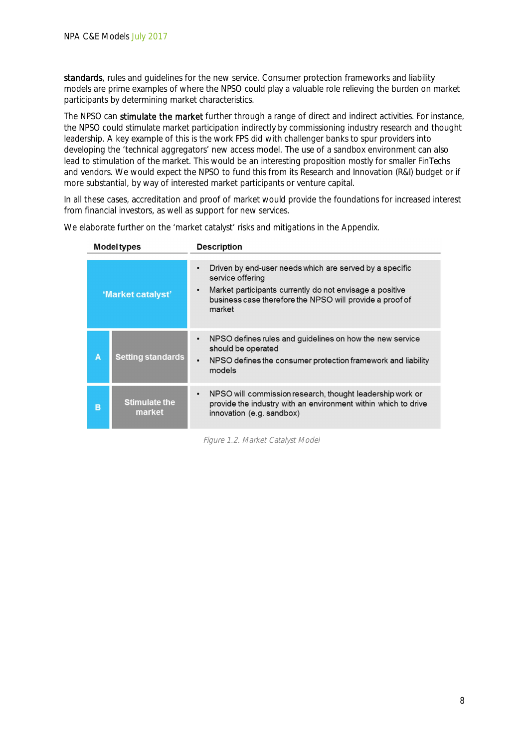standards, rules and quidelines for the new service. Consumer protection frameworks and liability models are prime examples of where the NPSO could play a valuable role relieving the burden on market participants by determining market characteristics.

The NPSO can stimulate the market further through a range of direct and indirect activities. For instance, the NPSO could stimulate market participation indirectly by commissioning industry research and thought leadership. A key example of this is the work FPS did with challenger banks to spur providers into developing the 'technical aggregators' new access model. The use of a sandbox environment can also lead to stimulation of the market. This would be an interesting proposition mostly for smaller FinTechs and vendors. We would expect the NPSO to fund this from its Research and Innovation (R&I) budget or if more substantial, by way of interested market participants or venture capital.

In all these cases, accreditation and proof of market would provide the foundations for increased interest from financial investors, as well as support for new services.

| <b>Model types</b> |                                | <b>Description</b>                                                                                                                                                                                                      |
|--------------------|--------------------------------|-------------------------------------------------------------------------------------------------------------------------------------------------------------------------------------------------------------------------|
| 'Market catalyst'  |                                | Driven by end-user needs which are served by a specific<br>٠<br>service offering<br>Market participants currently do not envisage a positive<br>٠<br>business case therefore the NPSO will provide a proof of<br>market |
| А                  | <b>Setting standards</b>       | NPSO defines rules and guidelines on how the new service<br>$\bullet$<br>should be operated<br>NPSO defines the consumer protection framework and liability<br>$\bullet$<br>models                                      |
| в                  | <b>Stimulate the</b><br>market | NPSO will commission research, thought leadership work or<br>٠<br>provide the industry with an environment within which to drive<br>innovation (e.g. sandbox)                                                           |

We elaborate further on the 'market catalyst' risks and mitigations in the Appendix.

Figure 1.2. Market Catalyst Model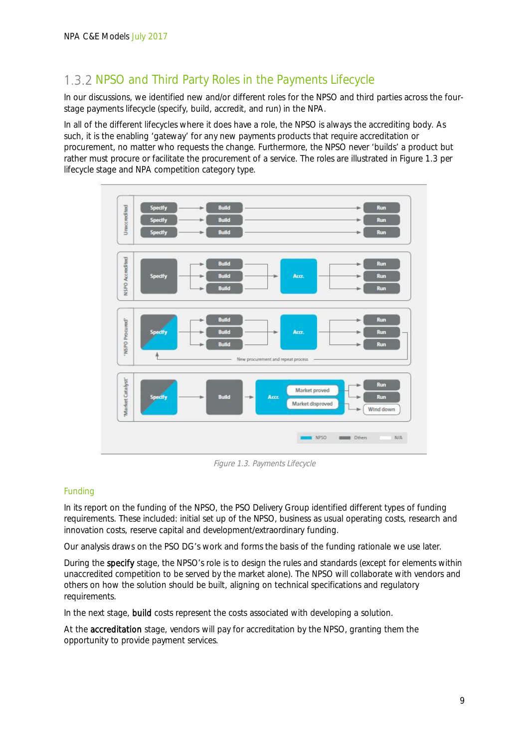# 1.3.2 NPSO and Third Party Roles in the Payments Lifecycle

In our discussions, we identified new and/or different roles for the NPSO and third parties across the fourstage payments lifecycle (specify, build, accredit, and run) in the NPA.

In all of the different lifecycles where it does have a role, the NPSO is always the accrediting body. As such, it is the enabling 'gateway' for any new payments products that require accreditation or procurement, no matter who requests the change. Furthermore, the NPSO never 'builds' a product but rather must procure or facilitate the procurement of a service. The roles are illustrated in Figure 1.3 per lifecycle stage and NPA competition category type.



Figure 1.3. Payments Lifecycle

### Funding

In its report on the funding of the NPSO, the PSO Delivery Group identified different types of funding requirements. These included: initial set up of the NPSO, business as usual operating costs, research and innovation costs, reserve capital and development/extraordinary funding.

Our analysis draws on the PSO DG's work and forms the basis of the funding rationale we use later.

During the specify stage, the NPSO's role is to design the rules and standards (except for elements within unaccredited competition to be served by the market alone). The NPSO will collaborate with vendors and others on how the solution should be built, aligning on technical specifications and regulatory requirements.

In the next stage, build costs represent the costs associated with developing a solution.

At the accreditation stage, vendors will pay for accreditation by the NPSO, granting them the opportunity to provide payment services.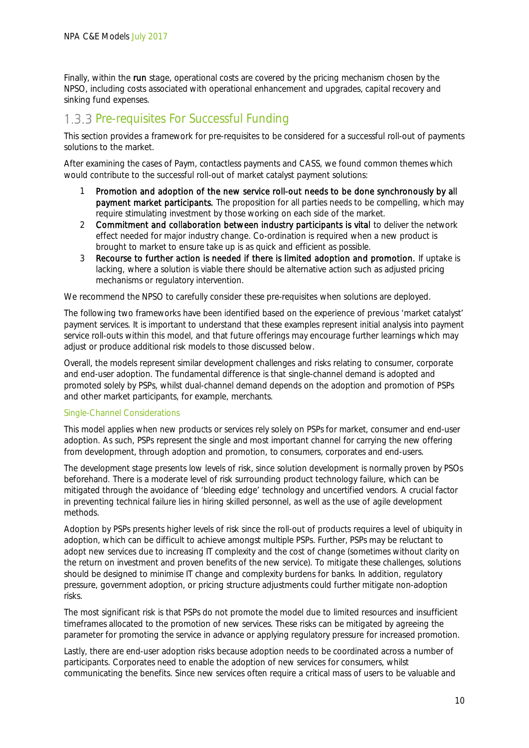Finally, within the run stage, operational costs are covered by the pricing mechanism chosen by the NPSO, including costs associated with operational enhancement and upgrades, capital recovery and sinking fund expenses.

### 1.3.3 Pre-requisites For Successful Funding

This section provides a framework for pre-requisites to be considered for a successful roll-out of payments solutions to the market.

After examining the cases of Paym, contactless payments and CASS, we found common themes which would contribute to the successful roll-out of market catalyst payment solutions:

- 1 Promotion and adoption of the new service roll-out needs to be done synchronously by all payment market participants. The proposition for all parties needs to be compelling, which may require stimulating investment by those working on each side of the market.
- 2 Commitment and collaboration between industry participants is vital to deliver the network effect needed for major industry change. Co-ordination is required when a new product is brought to market to ensure take up is as quick and efficient as possible.
- 3 Recourse to further action is needed if there is limited adoption and promotion. If uptake is lacking, where a solution is viable there should be alternative action such as adjusted pricing mechanisms or regulatory intervention.

We recommend the NPSO to carefully consider these pre-requisites when solutions are deployed.

The following two frameworks have been identified based on the experience of previous 'market catalyst' payment services. It is important to understand that these examples represent initial analysis into payment service roll-outs within this model, and that future offerings may encourage further learnings which may adjust or produce additional risk models to those discussed below.

Overall, the models represent similar development challenges and risks relating to consumer, corporate and end-user adoption. The fundamental difference is that single-channel demand is adopted and promoted solely by PSPs, whilst dual-channel demand depends on the adoption and promotion of PSPs and other market participants, for example, merchants.

#### Single-Channel Considerations

This model applies when new products or services rely solely on PSPs for market, consumer and end-user adoption. As such, PSPs represent the single and most important channel for carrying the new offering from development, through adoption and promotion, to consumers, corporates and end-users.

The development stage presents low levels of risk, since solution development is normally proven by PSOs beforehand. There is a moderate level of risk surrounding product technology failure, which can be mitigated through the avoidance of 'bleeding edge' technology and uncertified vendors. A crucial factor in preventing technical failure lies in hiring skilled personnel, as well as the use of agile development methods.

Adoption by PSPs presents higher levels of risk since the roll-out of products requires a level of ubiquity in adoption, which can be difficult to achieve amongst multiple PSPs. Further, PSPs may be reluctant to adopt new services due to increasing IT complexity and the cost of change (sometimes without clarity on the return on investment and proven benefits of the new service). To mitigate these challenges, solutions should be designed to minimise IT change and complexity burdens for banks. In addition, regulatory pressure, government adoption, or pricing structure adjustments could further mitigate non-adoption risks.

The most significant risk is that PSPs do not promote the model due to limited resources and insufficient timeframes allocated to the promotion of new services. These risks can be mitigated by agreeing the parameter for promoting the service in advance or applying regulatory pressure for increased promotion.

Lastly, there are end-user adoption risks because adoption needs to be coordinated across a number of participants. Corporates need to enable the adoption of new services for consumers, whilst communicating the benefits. Since new services often require a critical mass of users to be valuable and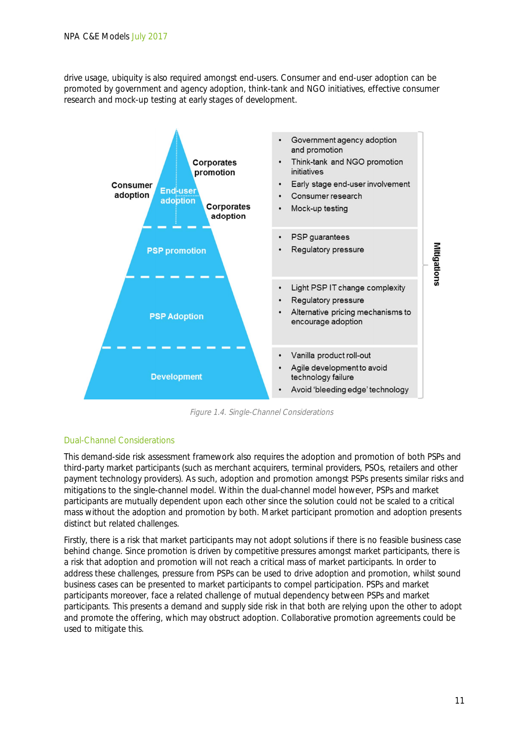drive usage, ubiquity is also required amongst end-users. Consumer and end-user adoption can be promoted by government and agency adoption, think-tank and NGO initiatives, effective consumer research and mock-up testing at early stages of development.



Figure 1.4. Single-Channel Considerations

### Dual-Channel Considerations

This demand-side risk assessment framework also requires the adoption and promotion of both PSPs and third-party market participants (such as merchant acquirers, terminal providers, PSOs, retailers and other payment technology providers). As such, adoption and promotion amongst PSPs presents similar risks and mitigations to the single-channel model. Within the dual-channel model however, PSPs and market participants are mutually dependent upon each other since the solution could not be scaled to a critical mass without the adoption and promotion by both. Market participant promotion and adoption presents distinct but related challenges.

Firstly, there is a risk that market participants may not adopt solutions if there is no feasible business case behind change. Since promotion is driven by competitive pressures amongst market participants, there is a risk that adoption and promotion will not reach a critical mass of market participants. In order to address these challenges, pressure from PSPs can be used to drive adoption and promotion, whilst sound business cases can be presented to market participants to compel participation. PSPs and market participants moreover, face a related challenge of mutual dependency between PSPs and market participants. This presents a demand and supply side risk in that both are relying upon the other to adopt and promote the offering, which may obstruct adoption. Collaborative promotion agreements could be used to mitigate this.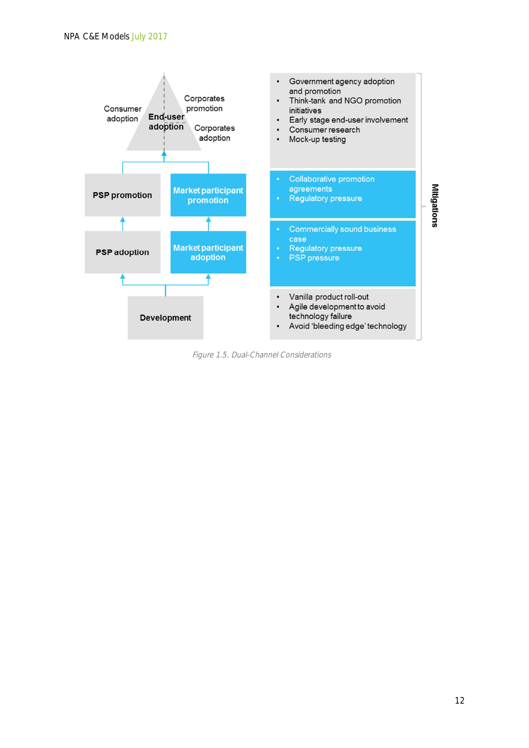

Figure 1.5. Dual-Channel Considerations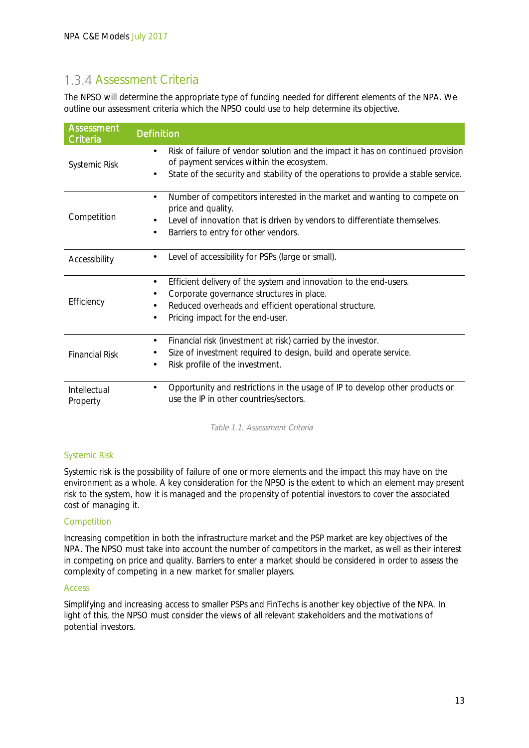# 1.3.4 Assessment Criteria

The NPSO will determine the appropriate type of funding needed for different elements of the NPA. We outline our assessment criteria which the NPSO could use to help determine its objective.

| <b>Assessment</b><br><b>Criteria</b> | <b>Definition</b>                                                                                                            |
|--------------------------------------|------------------------------------------------------------------------------------------------------------------------------|
|                                      | Risk of failure of vendor solution and the impact it has on continued provision<br>of payment services within the ecosystem. |
| <b>Systemic Risk</b>                 | State of the security and stability of the operations to provide a stable service.<br>٠                                      |
|                                      | Number of competitors interested in the market and wanting to compete on<br>price and quality.                               |
| Competition                          | Level of innovation that is driven by vendors to differentiate themselves.<br>٠                                              |
|                                      | Barriers to entry for other vendors.<br>$\blacksquare$                                                                       |
| Accessibility                        | Level of accessibility for PSPs (large or small).                                                                            |
|                                      | Efficient delivery of the system and innovation to the end-users.<br>٠                                                       |
|                                      | Corporate governance structures in place.<br>٠                                                                               |
| Efficiency                           | Reduced overheads and efficient operational structure.<br>٠                                                                  |
|                                      | Pricing impact for the end-user.<br>٠                                                                                        |
|                                      | Financial risk (investment at risk) carried by the investor.<br>٠                                                            |
| <b>Financial Risk</b>                | Size of investment required to design, build and operate service.                                                            |
|                                      | Risk profile of the investment.                                                                                              |
| Intellectual<br>Property             | Opportunity and restrictions in the usage of IP to develop other products or<br>use the IP in other countries/sectors.       |

Table 1.1. Assessment Criteria

### Systemic Risk

Systemic risk is the possibility of failure of one or more elements and the impact this may have on the environment as a whole. A key consideration for the NPSO is the extent to which an element may present risk to the system, how it is managed and the propensity of potential investors to cover the associated cost of managing it.

#### Competition

Increasing competition in both the infrastructure market and the PSP market are key objectives of the NPA. The NPSO must take into account the number of competitors in the market, as well as their interest in competing on price and quality. Barriers to enter a market should be considered in order to assess the complexity of competing in a new market for smaller players.

#### Access

Simplifying and increasing access to smaller PSPs and FinTechs is another key objective of the NPA. In light of this, the NPSO must consider the views of all relevant stakeholders and the motivations of potential investors.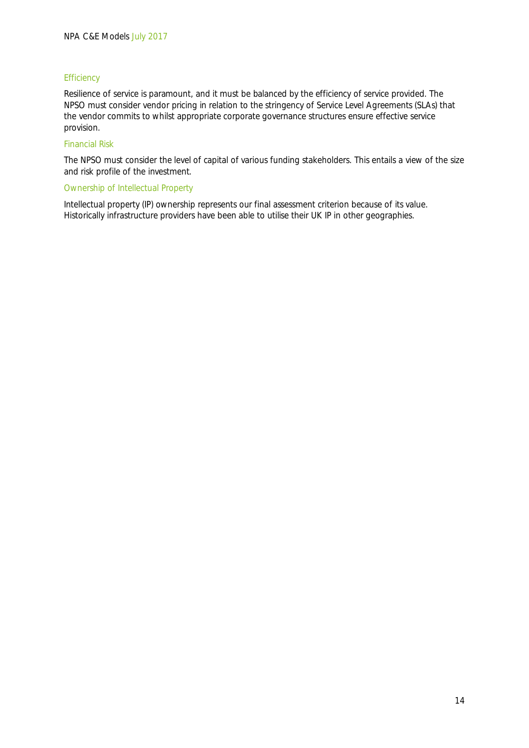#### **Efficiency**

Resilience of service is paramount, and it must be balanced by the efficiency of service provided. The NPSO must consider vendor pricing in relation to the stringency of Service Level Agreements (SLAs) that the vendor commits to whilst appropriate corporate governance structures ensure effective service provision.

#### Financial Risk

The NPSO must consider the level of capital of various funding stakeholders. This entails a view of the size and risk profile of the investment.

#### Ownership of Intellectual Property

Intellectual property (IP) ownership represents our final assessment criterion because of its value. Historically infrastructure providers have been able to utilise their UK IP in other geographies.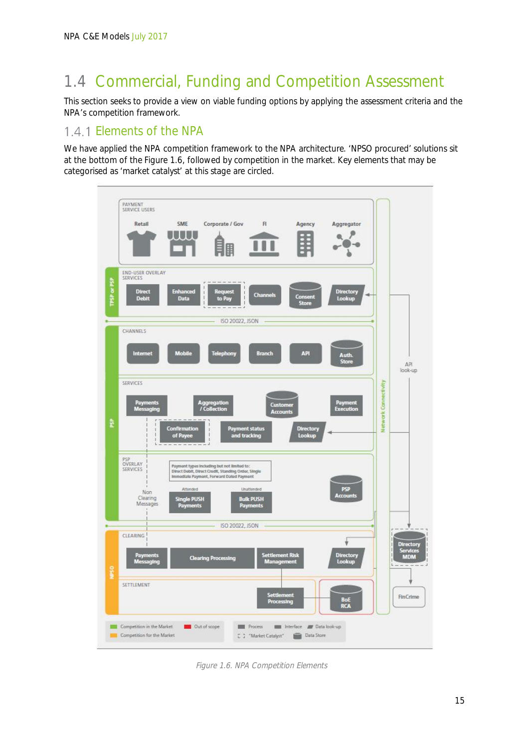# 1.4 Commercial, Funding and Competition Assessment

This section seeks to provide a view on viable funding options by applying the assessment criteria and the NPA's competition framework.

# 1.4.1 Elements of the NPA

We have applied the NPA competition framework to the NPA architecture. 'NPSO procured' solutions sit at the bottom of the Figure 1.6, followed by competition in the market. Key elements that may be categorised as 'market catalyst' at this stage are circled.



Figure 1.6. NPA Competition Elements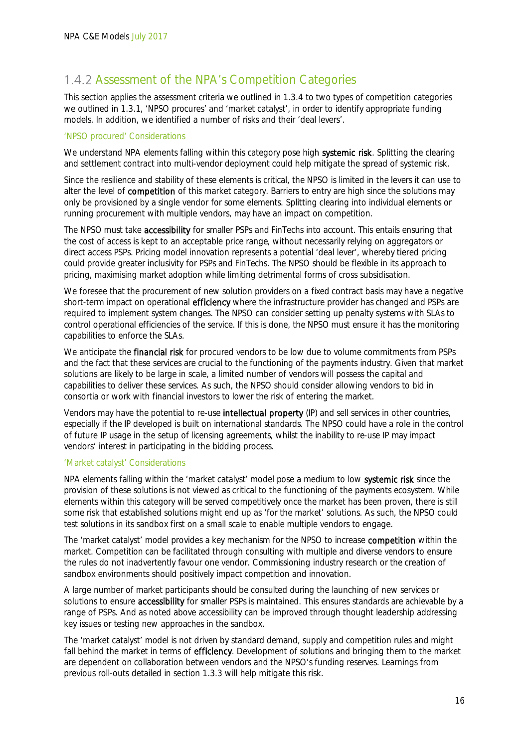## 1.4.2 Assessment of the NPA's Competition Categories

This section applies the assessment criteria we outlined in 1.3.4 to two types of competition categories we outlined in 1.3.1, 'NPSO procures' and 'market catalyst', in order to identify appropriate funding models. In addition, we identified a number of risks and their 'deal levers'.

### 'NPSO procured' Considerations

We understand NPA elements falling within this category pose high systemic risk. Splitting the clearing and settlement contract into multi-vendor deployment could help mitigate the spread of systemic risk.

Since the resilience and stability of these elements is critical, the NPSO is limited in the levers it can use to alter the level of **competition** of this market category. Barriers to entry are high since the solutions may only be provisioned by a single vendor for some elements. Splitting clearing into individual elements or running procurement with multiple vendors, may have an impact on competition.

The NPSO must take accessibility for smaller PSPs and FinTechs into account. This entails ensuring that the cost of access is kept to an acceptable price range, without necessarily relying on aggregators or direct access PSPs. Pricing model innovation represents a potential 'deal lever', whereby tiered pricing could provide greater inclusivity for PSPs and FinTechs. The NPSO should be flexible in its approach to pricing, maximising market adoption while limiting detrimental forms of cross subsidisation.

We foresee that the procurement of new solution providers on a fixed contract basis may have a negative short-term impact on operational efficiency where the infrastructure provider has changed and PSPs are required to implement system changes. The NPSO can consider setting up penalty systems with SLAs to control operational efficiencies of the service. If this is done, the NPSO must ensure it has the monitoring capabilities to enforce the SLAs.

We anticipate the **financial risk** for procured vendors to be low due to volume commitments from PSPs and the fact that these services are crucial to the functioning of the payments industry. Given that market solutions are likely to be large in scale, a limited number of vendors will possess the capital and capabilities to deliver these services. As such, the NPSO should consider allowing vendors to bid in consortia or work with financial investors to lower the risk of entering the market.

Vendors may have the potential to re-use intellectual property (IP) and sell services in other countries, especially if the IP developed is built on international standards. The NPSO could have a role in the control of future IP usage in the setup of licensing agreements, whilst the inability to re-use IP may impact vendors' interest in participating in the bidding process.

#### 'Market catalyst' Considerations

NPA elements falling within the 'market catalyst' model pose a medium to low systemic risk since the provision of these solutions is not viewed as critical to the functioning of the payments ecosystem. While elements within this category will be served competitively once the market has been proven, there is still some risk that established solutions might end up as 'for the market' solutions. As such, the NPSO could test solutions in its sandbox first on a small scale to enable multiple vendors to engage.

The 'market catalyst' model provides a key mechanism for the NPSO to increase competition within the market. Competition can be facilitated through consulting with multiple and diverse vendors to ensure the rules do not inadvertently favour one vendor. Commissioning industry research or the creation of sandbox environments should positively impact competition and innovation.

A large number of market participants should be consulted during the launching of new services or solutions to ensure **accessibility** for smaller PSPs is maintained. This ensures standards are achievable by a range of PSPs. And as noted above accessibility can be improved through thought leadership addressing key issues or testing new approaches in the sandbox.

The 'market catalyst' model is not driven by standard demand, supply and competition rules and might fall behind the market in terms of efficiency. Development of solutions and bringing them to the market are dependent on collaboration between vendors and the NPSO's funding reserves. Learnings from previous roll-outs detailed in section 1.3.3 will help mitigate this risk.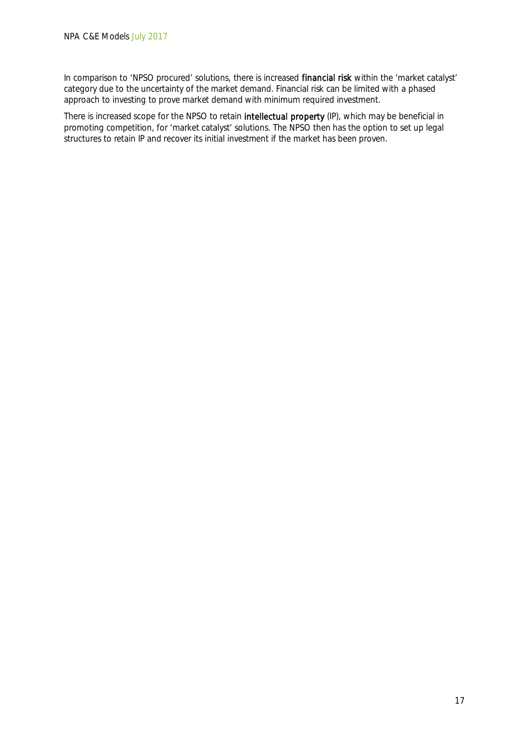In comparison to 'NPSO procured' solutions, there is increased financial risk within the 'market catalyst' category due to the uncertainty of the market demand. Financial risk can be limited with a phased approach to investing to prove market demand with minimum required investment.

There is increased scope for the NPSO to retain intellectual property (IP), which may be beneficial in promoting competition, for 'market catalyst' solutions. The NPSO then has the option to set up legal structures to retain IP and recover its initial investment if the market has been proven.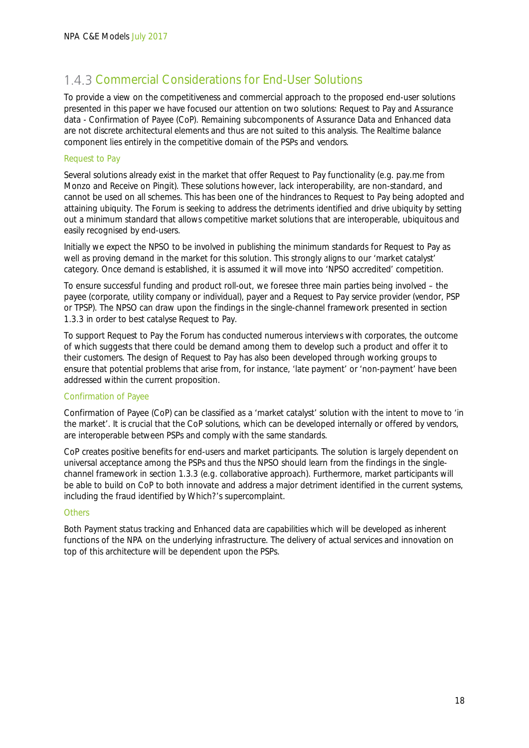## 1.4.3 Commercial Considerations for End-User Solutions

To provide a view on the competitiveness and commercial approach to the proposed end-user solutions presented in this paper we have focused our attention on two solutions: Request to Pay and Assurance data - Confirmation of Payee (CoP). Remaining subcomponents of Assurance Data and Enhanced data are not discrete architectural elements and thus are not suited to this analysis. The Realtime balance component lies entirely in the competitive domain of the PSPs and vendors.

#### Request to Pay

Several solutions already exist in the market that offer Request to Pay functionality (e.g. pay.me from Monzo and Receive on Pingit). These solutions however, lack interoperability, are non-standard, and cannot be used on all schemes. This has been one of the hindrances to Request to Pay being adopted and attaining ubiquity. The Forum is seeking to address the detriments identified and drive ubiquity by setting out a minimum standard that allows competitive market solutions that are interoperable, ubiquitous and easily recognised by end-users.

Initially we expect the NPSO to be involved in publishing the minimum standards for Request to Pay as well as proving demand in the market for this solution. This strongly aligns to our 'market catalyst' category. Once demand is established, it is assumed it will move into 'NPSO accredited' competition.

To ensure successful funding and product roll-out, we foresee three main parties being involved – the payee (corporate, utility company or individual), payer and a Request to Pay service provider (vendor, PSP or TPSP). The NPSO can draw upon the findings in the single-channel framework presented in section 1.3.3 in order to best catalyse Request to Pay.

To support Request to Pay the Forum has conducted numerous interviews with corporates, the outcome of which suggests that there could be demand among them to develop such a product and offer it to their customers. The design of Request to Pay has also been developed through working groups to ensure that potential problems that arise from, for instance, 'late payment' or 'non-payment' have been addressed within the current proposition.

#### Confirmation of Payee

Confirmation of Payee (CoP) can be classified as a 'market catalyst' solution with the intent to move to 'in the market'. It is crucial that the CoP solutions, which can be developed internally or offered by vendors, are interoperable between PSPs and comply with the same standards.

CoP creates positive benefits for end-users and market participants. The solution is largely dependent on universal acceptance among the PSPs and thus the NPSO should learn from the findings in the singlechannel framework in section 1.3.3 (e.g. collaborative approach). Furthermore, market participants will be able to build on CoP to both innovate and address a major detriment identified in the current systems, including the fraud identified by Which?'s supercomplaint.

#### **Others**

Both Payment status tracking and Enhanced data are capabilities which will be developed as inherent functions of the NPA on the underlying infrastructure. The delivery of actual services and innovation on top of this architecture will be dependent upon the PSPs.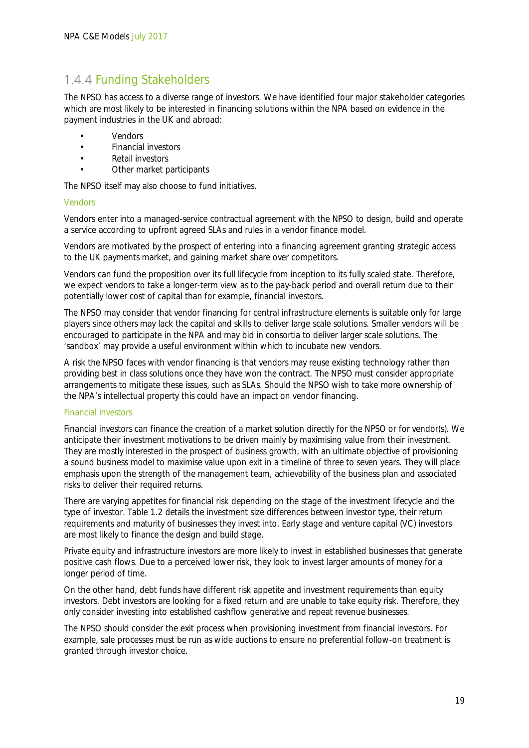### 1.4.4 Funding Stakeholders

The NPSO has access to a diverse range of investors. We have identified four major stakeholder categories which are most likely to be interested in financing solutions within the NPA based on evidence in the payment industries in the UK and abroad:

- Vendors
- Financial investors
- Retail investors
- Other market participants

The NPSO itself may also choose to fund initiatives.

#### Vendors

Vendors enter into a managed-service contractual agreement with the NPSO to design, build and operate a service according to upfront agreed SLAs and rules in a vendor finance model.

Vendors are motivated by the prospect of entering into a financing agreement granting strategic access to the UK payments market, and gaining market share over competitors.

Vendors can fund the proposition over its full lifecycle from inception to its fully scaled state. Therefore, we expect vendors to take a longer-term view as to the pay-back period and overall return due to their potentially lower cost of capital than for example, financial investors.

The NPSO may consider that vendor financing for central infrastructure elements is suitable only for large players since others may lack the capital and skills to deliver large scale solutions. Smaller vendors will be encouraged to participate in the NPA and may bid in consortia to deliver larger scale solutions. The 'sandbox' may provide a useful environment within which to incubate new vendors.

A risk the NPSO faces with vendor financing is that vendors may reuse existing technology rather than providing best in class solutions once they have won the contract. The NPSO must consider appropriate arrangements to mitigate these issues, such as SLAs. Should the NPSO wish to take more ownership of the NPA's intellectual property this could have an impact on vendor financing.

#### Financial Investors

Financial investors can finance the creation of a market solution directly for the NPSO or for vendor(s). We anticipate their investment motivations to be driven mainly by maximising value from their investment. They are mostly interested in the prospect of business growth, with an ultimate objective of provisioning a sound business model to maximise value upon exit in a timeline of three to seven years. They will place emphasis upon the strength of the management team, achievability of the business plan and associated risks to deliver their required returns.

There are varying appetites for financial risk depending on the stage of the investment lifecycle and the type of investor. Table 1.2 details the investment size differences between investor type, their return requirements and maturity of businesses they invest into. Early stage and venture capital (VC) investors are most likely to finance the design and build stage.

Private equity and infrastructure investors are more likely to invest in established businesses that generate positive cash flows. Due to a perceived lower risk, they look to invest larger amounts of money for a longer period of time.

On the other hand, debt funds have different risk appetite and investment requirements than equity investors. Debt investors are looking for a fixed return and are unable to take equity risk. Therefore, they only consider investing into established cashflow generative and repeat revenue businesses.

The NPSO should consider the exit process when provisioning investment from financial investors. For example, sale processes must be run as wide auctions to ensure no preferential follow-on treatment is granted through investor choice.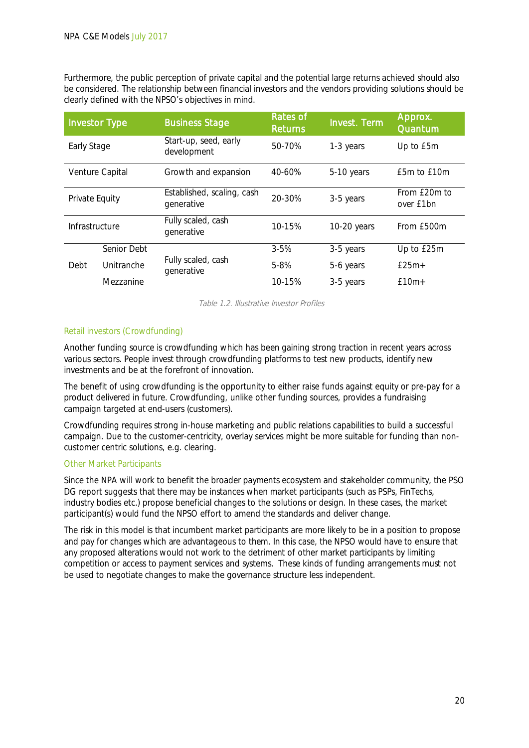Furthermore, the public perception of private capital and the potential large returns achieved should also be considered. The relationship between financial investors and the vendors providing solutions should be clearly defined with the NPSO's objectives in mind.

| <b>Investor Type</b> |             | <b>Business Stage</b>                    | <b>Rates of</b><br><b>Returns</b> | <b>Invest. Term</b> | Approx.<br>Quantum        |
|----------------------|-------------|------------------------------------------|-----------------------------------|---------------------|---------------------------|
| Early Stage          |             | Start-up, seed, early<br>development     | 50-70%                            | 1-3 years           | Up to £5m                 |
| Venture Capital      |             | Growth and expansion                     | 40-60%                            | 5-10 years          | £5m to £10m               |
| Private Equity       |             | Established, scaling, cash<br>generative | 20-30%                            | 3-5 years           | From £20m to<br>over £1bn |
| Infrastructure       |             | Fully scaled, cash<br>generative         | 10-15%                            | 10-20 years         | From £500m                |
| Debt                 | Senior Debt |                                          | $3 - 5%$                          | 3-5 years           | Up to £25m                |
|                      | Unitranche  | Fully scaled, cash<br>generative         | $5 - 8%$                          | 5-6 years           | $£25m+$                   |
|                      | Mezzanine   |                                          | 10-15%                            | 3-5 years           | $f10m+$                   |

Table 1.2. Illustrative Investor Profiles

### Retail investors (Crowdfunding)

Another funding source is crowdfunding which has been gaining strong traction in recent years across various sectors. People invest through crowdfunding platforms to test new products, identify new investments and be at the forefront of innovation.

The benefit of using crowdfunding is the opportunity to either raise funds against equity or pre-pay for a product delivered in future. Crowdfunding, unlike other funding sources, provides a fundraising campaign targeted at end-users (customers).

Crowdfunding requires strong in-house marketing and public relations capabilities to build a successful campaign. Due to the customer-centricity, overlay services might be more suitable for funding than noncustomer centric solutions, e.g. clearing.

#### Other Market Participants

Since the NPA will work to benefit the broader payments ecosystem and stakeholder community, the PSO DG report suggests that there may be instances when market participants (such as PSPs, FinTechs, industry bodies etc.) propose beneficial changes to the solutions or design. In these cases, the market participant(s) would fund the NPSO effort to amend the standards and deliver change.

The risk in this model is that incumbent market participants are more likely to be in a position to propose and pay for changes which are advantageous to them. In this case, the NPSO would have to ensure that any proposed alterations would not work to the detriment of other market participants by limiting competition or access to payment services and systems. These kinds of funding arrangements must not be used to negotiate changes to make the governance structure less independent.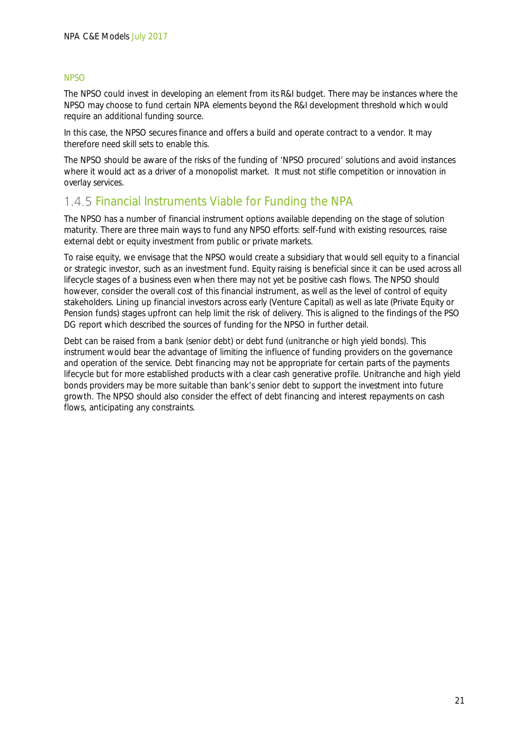### NPSO

The NPSO could invest in developing an element from its R&I budget. There may be instances where the NPSO may choose to fund certain NPA elements beyond the R&I development threshold which would require an additional funding source.

In this case, the NPSO secures finance and offers a build and operate contract to a vendor. It may therefore need skill sets to enable this.

The NPSO should be aware of the risks of the funding of 'NPSO procured' solutions and avoid instances where it would act as a driver of a monopolist market. It must not stifle competition or innovation in overlay services.

### 1.4.5 Financial Instruments Viable for Funding the NPA

The NPSO has a number of financial instrument options available depending on the stage of solution maturity. There are three main ways to fund any NPSO efforts: self-fund with existing resources, raise external debt or equity investment from public or private markets.

To raise equity, we envisage that the NPSO would create a subsidiary that would sell equity to a financial or strategic investor, such as an investment fund. Equity raising is beneficial since it can be used across all lifecycle stages of a business even when there may not yet be positive cash flows. The NPSO should however, consider the overall cost of this financial instrument, as well as the level of control of equity stakeholders. Lining up financial investors across early (Venture Capital) as well as late (Private Equity or Pension funds) stages upfront can help limit the risk of delivery. This is aligned to the findings of the PSO DG report which described the sources of funding for the NPSO in further detail.

Debt can be raised from a bank (senior debt) or debt fund (unitranche or high yield bonds). This instrument would bear the advantage of limiting the influence of funding providers on the governance and operation of the service. Debt financing may not be appropriate for certain parts of the payments lifecycle but for more established products with a clear cash generative profile. Unitranche and high yield bonds providers may be more suitable than bank's senior debt to support the investment into future growth. The NPSO should also consider the effect of debt financing and interest repayments on cash flows, anticipating any constraints.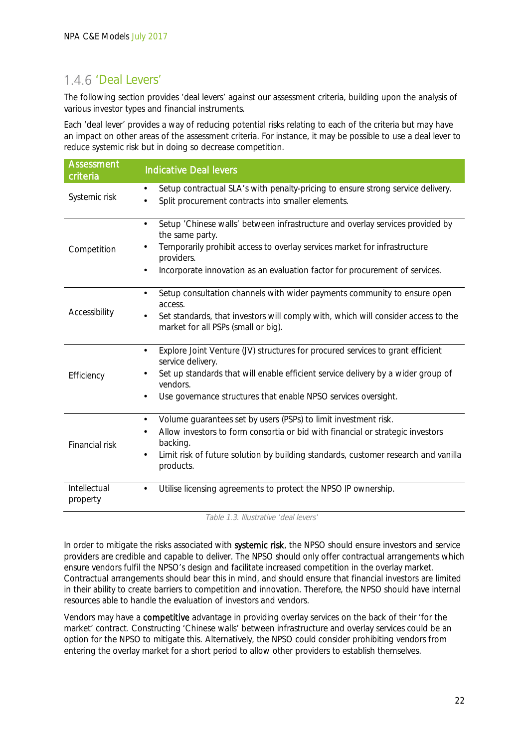# 1.4.6 'Deal Levers'

The following section provides 'deal levers' against our assessment criteria, building upon the analysis of various investor types and financial instruments.

Each 'deal lever' provides a way of reducing potential risks relating to each of the criteria but may have an impact on other areas of the assessment criteria. For instance, it may be possible to use a deal lever to reduce systemic risk but in doing so decrease competition.

| <b>Assessment</b><br>criteria | <b>Indicative Deal levers</b>                                                                                                                                                                                                                                                      |
|-------------------------------|------------------------------------------------------------------------------------------------------------------------------------------------------------------------------------------------------------------------------------------------------------------------------------|
| Systemic risk                 | Setup contractual SLA's with penalty-pricing to ensure strong service delivery.<br>$\blacksquare$<br>Split procurement contracts into smaller elements.                                                                                                                            |
| Competition                   | Setup 'Chinese walls' between infrastructure and overlay services provided by<br>the same party.<br>Temporarily prohibit access to overlay services market for infrastructure<br>providers.<br>Incorporate innovation as an evaluation factor for procurement of services.         |
| Accessibility                 | Setup consultation channels with wider payments community to ensure open<br>access.<br>Set standards, that investors will comply with, which will consider access to the<br>market for all PSPs (small or big).                                                                    |
| Efficiency                    | Explore Joint Venture (JV) structures for procured services to grant efficient<br>service delivery.<br>Set up standards that will enable efficient service delivery by a wider group of<br>vendors.<br>Use governance structures that enable NPSO services oversight.              |
| Financial risk                | Volume guarantees set by users (PSPs) to limit investment risk.<br>$\blacksquare$<br>Allow investors to form consortia or bid with financial or strategic investors<br>backing.<br>Limit risk of future solution by building standards, customer research and vanilla<br>products. |
| Intellectual<br>property      | Utilise licensing agreements to protect the NPSO IP ownership.                                                                                                                                                                                                                     |

Table 1.3. Illustrative 'deal levers'

In order to mitigate the risks associated with systemic risk, the NPSO should ensure investors and service providers are credible and capable to deliver. The NPSO should only offer contractual arrangements which ensure vendors fulfil the NPSO's design and facilitate increased competition in the overlay market. Contractual arrangements should bear this in mind, and should ensure that financial investors are limited in their ability to create barriers to competition and innovation. Therefore, the NPSO should have internal resources able to handle the evaluation of investors and vendors.

Vendors may have a competitive advantage in providing overlay services on the back of their 'for the market' contract. Constructing 'Chinese walls' between infrastructure and overlay services could be an option for the NPSO to mitigate this. Alternatively, the NPSO could consider prohibiting vendors from entering the overlay market for a short period to allow other providers to establish themselves.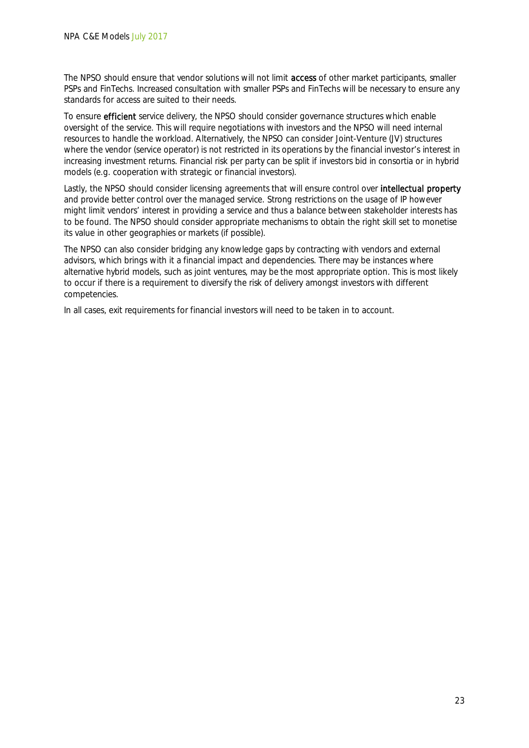The NPSO should ensure that vendor solutions will not limit access of other market participants, smaller PSPs and FinTechs. Increased consultation with smaller PSPs and FinTechs will be necessary to ensure any standards for access are suited to their needs.

To ensure efficient service delivery, the NPSO should consider governance structures which enable oversight of the service. This will require negotiations with investors and the NPSO will need internal resources to handle the workload. Alternatively, the NPSO can consider Joint-Venture (JV) structures where the vendor (service operator) is not restricted in its operations by the financial investor's interest in increasing investment returns. Financial risk per party can be split if investors bid in consortia or in hybrid models (e.g. cooperation with strategic or financial investors).

Lastly, the NPSO should consider licensing agreements that will ensure control over intellectual property and provide better control over the managed service. Strong restrictions on the usage of IP however might limit vendors' interest in providing a service and thus a balance between stakeholder interests has to be found. The NPSO should consider appropriate mechanisms to obtain the right skill set to monetise its value in other geographies or markets (if possible).

The NPSO can also consider bridging any knowledge gaps by contracting with vendors and external advisors, which brings with it a financial impact and dependencies. There may be instances where alternative hybrid models, such as joint ventures, may be the most appropriate option. This is most likely to occur if there is a requirement to diversify the risk of delivery amongst investors with different competencies.

In all cases, exit requirements for financial investors will need to be taken in to account.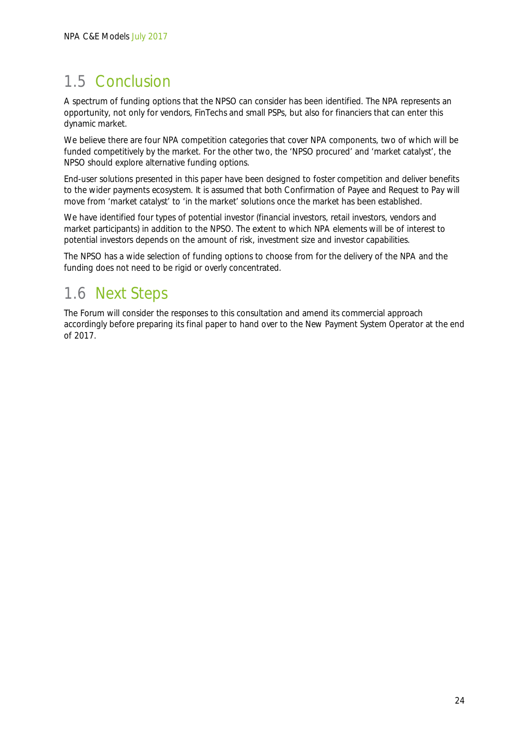# 1.5 Conclusion

A spectrum of funding options that the NPSO can consider has been identified. The NPA represents an opportunity, not only for vendors, FinTechs and small PSPs, but also for financiers that can enter this dynamic market.

We believe there are four NPA competition categories that cover NPA components, two of which will be funded competitively by the market. For the other two, the 'NPSO procured' and 'market catalyst', the NPSO should explore alternative funding options.

End-user solutions presented in this paper have been designed to foster competition and deliver benefits to the wider payments ecosystem. It is assumed that both Confirmation of Payee and Request to Pay will move from 'market catalyst' to 'in the market' solutions once the market has been established.

We have identified four types of potential investor (financial investors, retail investors, vendors and market participants) in addition to the NPSO. The extent to which NPA elements will be of interest to potential investors depends on the amount of risk, investment size and investor capabilities.

The NPSO has a wide selection of funding options to choose from for the delivery of the NPA and the funding does not need to be rigid or overly concentrated.

# 1.6 Next Steps

The Forum will consider the responses to this consultation and amend its commercial approach accordingly before preparing its final paper to hand over to the New Payment System Operator at the end of 2017.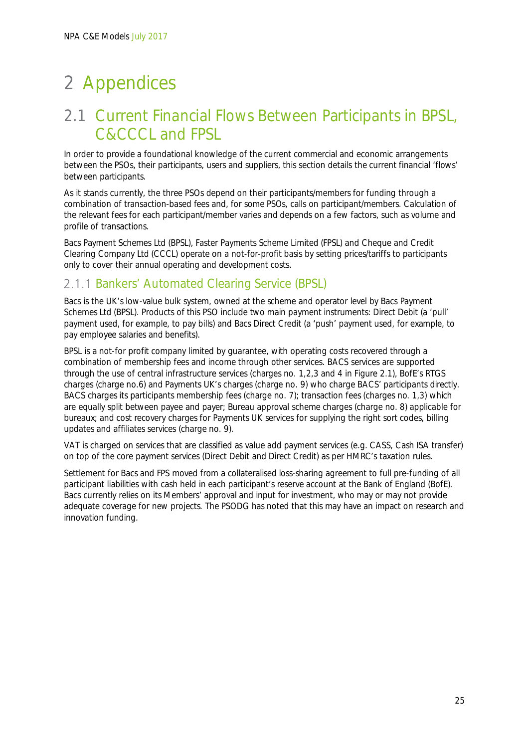# 2 Appendices

# 2.1 Current Financial Flows Between Participants in BPSL, C&CCCL and FPSL

In order to provide a foundational knowledge of the current commercial and economic arrangements between the PSOs, their participants, users and suppliers, this section details the current financial 'flows' between participants.

As it stands currently, the three PSOs depend on their participants/members for funding through a combination of transaction-based fees and, for some PSOs, calls on participant/members. Calculation of the relevant fees for each participant/member varies and depends on a few factors, such as volume and profile of transactions.

Bacs Payment Schemes Ltd (BPSL), Faster Payments Scheme Limited (FPSL) and Cheque and Credit Clearing Company Ltd (CCCL) operate on a not-for-profit basis by setting prices/tariffs to participants only to cover their annual operating and development costs.

### 2.1.1 Bankers' Automated Clearing Service (BPSL)

Bacs is the UK's low-value bulk system, owned at the scheme and operator level by Bacs Payment Schemes Ltd (BPSL). Products of this PSO include two main payment instruments: Direct Debit (a 'pull' payment used, for example, to pay bills) and Bacs Direct Credit (a 'push' payment used, for example, to pay employee salaries and benefits).

BPSL is a not-for profit company limited by guarantee, with operating costs recovered through a combination of membership fees and income through other services. BACS services are supported through the use of central infrastructure services (charges no. 1,2,3 and 4 in Figure 2.1), BofE's RTGS charges (charge no.6) and Payments UK's charges (charge no. 9) who charge BACS' participants directly. BACS charges its participants membership fees (charge no. 7); transaction fees (charges no. 1,3) which are equally split between payee and payer; Bureau approval scheme charges (charge no. 8) applicable for bureaux; and cost recovery charges for Payments UK services for supplying the right sort codes, billing updates and affiliates services (charge no. 9).

VAT is charged on services that are classified as value add payment services (e.g. CASS, Cash ISA transfer) on top of the core payment services (Direct Debit and Direct Credit) as per HMRC's taxation rules.

Settlement for Bacs and FPS moved from a collateralised loss-sharing agreement to full pre-funding of all participant liabilities with cash held in each participant's reserve account at the Bank of England (BofE). Bacs currently relies on its Members' approval and input for investment, who may or may not provide adequate coverage for new projects. The PSODG has noted that this may have an impact on research and innovation funding.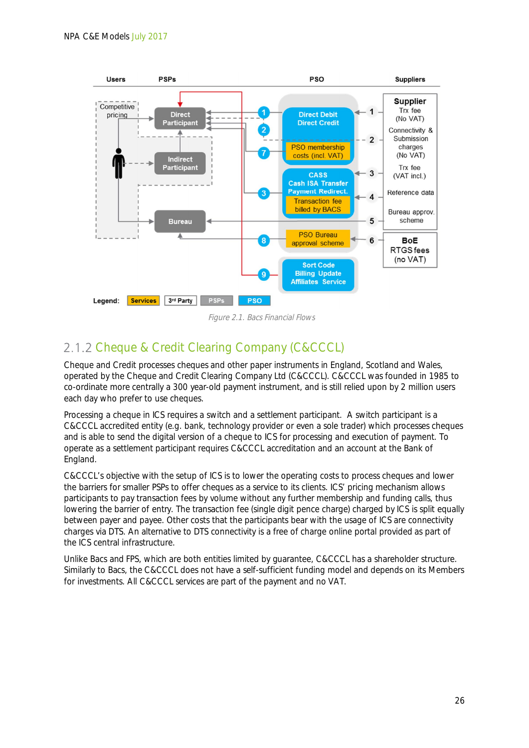

Figure 2.1. Bacs Financial Flows

# 2.1.2 Cheque & Credit Clearing Company (C&CCCL)

Cheque and Credit processes cheques and other paper instruments in England, Scotland and Wales, operated by the Cheque and Credit Clearing Company Ltd (C&CCCL). C&CCCL was founded in 1985 to co-ordinate more centrally a 300 year-old payment instrument, and is still relied upon by 2 million users each day who prefer to use cheques.

Processing a cheque in ICS requires a switch and a settlement participant. A switch participant is a C&CCCL accredited entity (e.g. bank, technology provider or even a sole trader) which processes cheques and is able to send the digital version of a cheque to ICS for processing and execution of payment. To operate as a settlement participant requires C&CCCL accreditation and an account at the Bank of England.

C&CCCL's objective with the setup of ICS is to lower the operating costs to process cheques and lower the barriers for smaller PSPs to offer cheques as a service to its clients. ICS' pricing mechanism allows participants to pay transaction fees by volume without any further membership and funding calls, thus lowering the barrier of entry. The transaction fee (single digit pence charge) charged by ICS is split equally between payer and payee. Other costs that the participants bear with the usage of ICS are connectivity charges via DTS. An alternative to DTS connectivity is a free of charge online portal provided as part of the ICS central infrastructure.

Unlike Bacs and FPS, which are both entities limited by guarantee, C&CCCL has a shareholder structure. Similarly to Bacs, the C&CCCL does not have a self-sufficient funding model and depends on its Members for investments. All C&CCCL services are part of the payment and no VAT.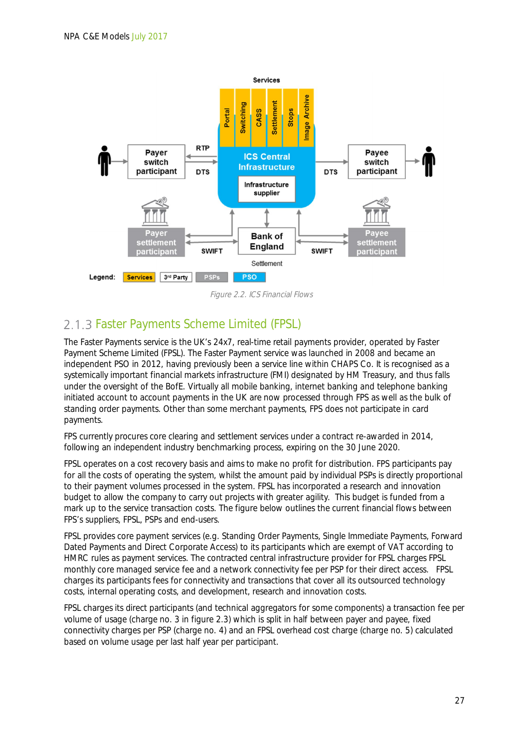

Figure 2.2. ICS Financial Flows

# 2.1.3 Faster Payments Scheme Limited (FPSL)

The Faster Payments service is the UK's 24x7, real-time retail payments provider, operated by Faster Payment Scheme Limited (FPSL). The Faster Payment service was launched in 2008 and became an independent PSO in 2012, having previously been a service line within CHAPS Co. It is recognised as a systemically important financial markets infrastructure (FMI) designated by HM Treasury, and thus falls under the oversight of the BofE. Virtually all mobile banking, internet banking and telephone banking initiated account to account payments in the UK are now processed through FPS as well as the bulk of standing order payments. Other than some merchant payments, FPS does not participate in card payments.

FPS currently procures core clearing and settlement services under a contract re-awarded in 2014, following an independent industry benchmarking process, expiring on the 30 June 2020.

FPSL operates on a cost recovery basis and aims to make no profit for distribution. FPS participants pay for all the costs of operating the system, whilst the amount paid by individual PSPs is directly proportional to their payment volumes processed in the system. FPSL has incorporated a research and innovation budget to allow the company to carry out projects with greater agility. This budget is funded from a mark up to the service transaction costs. The figure below outlines the current financial flows between FPS's suppliers, FPSL, PSPs and end-users.

FPSL provides core payment services (e.g. Standing Order Payments, Single Immediate Payments, Forward Dated Payments and Direct Corporate Access) to its participants which are exempt of VAT according to HMRC rules as payment services. The contracted central infrastructure provider for FPSL charges FPSL monthly core managed service fee and a network connectivity fee per PSP for their direct access. FPSL charges its participants fees for connectivity and transactions that cover all its outsourced technology costs, internal operating costs, and development, research and innovation costs.

FPSL charges its direct participants (and technical aggregators for some components) a transaction fee per volume of usage (charge no. 3 in figure 2.3) which is split in half between payer and payee, fixed connectivity charges per PSP (charge no. 4) and an FPSL overhead cost charge (charge no. 5) calculated based on volume usage per last half year per participant.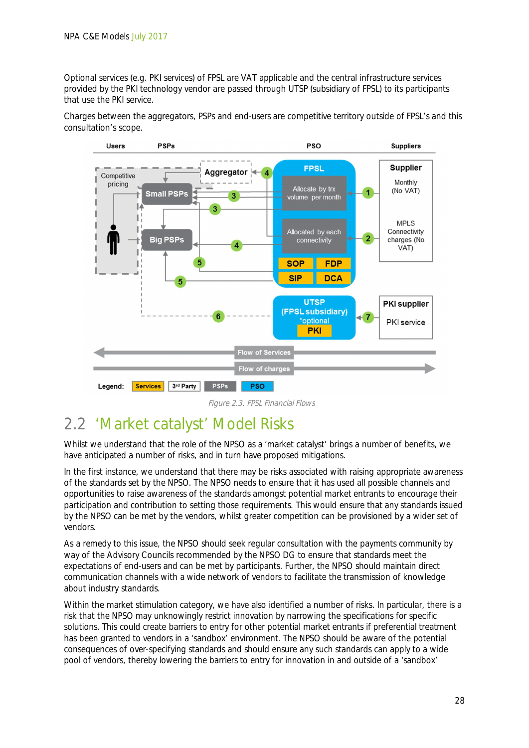Optional services (e.g. PKI services) of FPSL are VAT applicable and the central infrastructure services provided by the PKI technology vendor are passed through UTSP (subsidiary of FPSL) to its participants that use the PKI service.

Charges between the aggregators, PSPs and end-users are competitive territory outside of FPSL's and this consultation's scope.



Figure 2.3. FPSL Financial Flows

# 2.2 'Market catalyst' Model Risks

Whilst we understand that the role of the NPSO as a 'market catalyst' brings a number of benefits, we have anticipated a number of risks, and in turn have proposed mitigations.

In the first instance, we understand that there may be risks associated with raising appropriate awareness of the standards set by the NPSO. The NPSO needs to ensure that it has used all possible channels and opportunities to raise awareness of the standards amongst potential market entrants to encourage their participation and contribution to setting those requirements. This would ensure that any standards issued by the NPSO can be met by the vendors, whilst greater competition can be provisioned by a wider set of vendors.

As a remedy to this issue, the NPSO should seek regular consultation with the payments community by way of the Advisory Councils recommended by the NPSO DG to ensure that standards meet the expectations of end-users and can be met by participants. Further, the NPSO should maintain direct communication channels with a wide network of vendors to facilitate the transmission of knowledge about industry standards.

Within the market stimulation category, we have also identified a number of risks. In particular, there is a risk that the NPSO may unknowingly restrict innovation by narrowing the specifications for specific solutions. This could create barriers to entry for other potential market entrants if preferential treatment has been granted to vendors in a 'sandbox' environment. The NPSO should be aware of the potential consequences of over-specifying standards and should ensure any such standards can apply to a wide pool of vendors, thereby lowering the barriers to entry for innovation in and outside of a 'sandbox'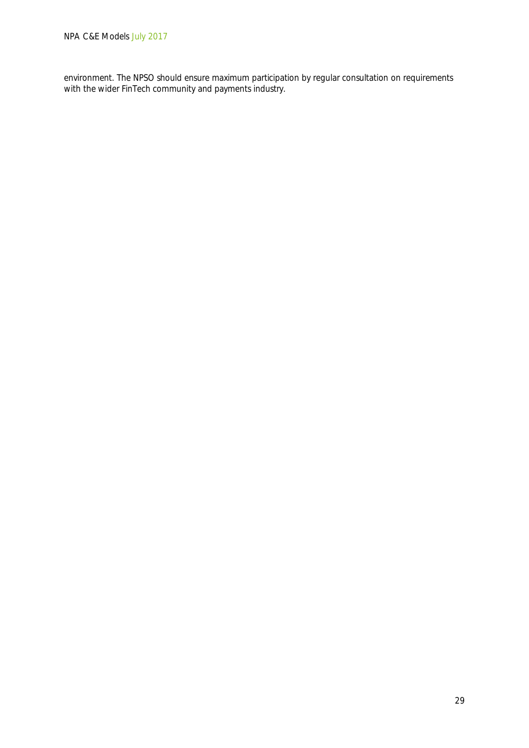environment. The NPSO should ensure maximum participation by regular consultation on requirements with the wider FinTech community and payments industry.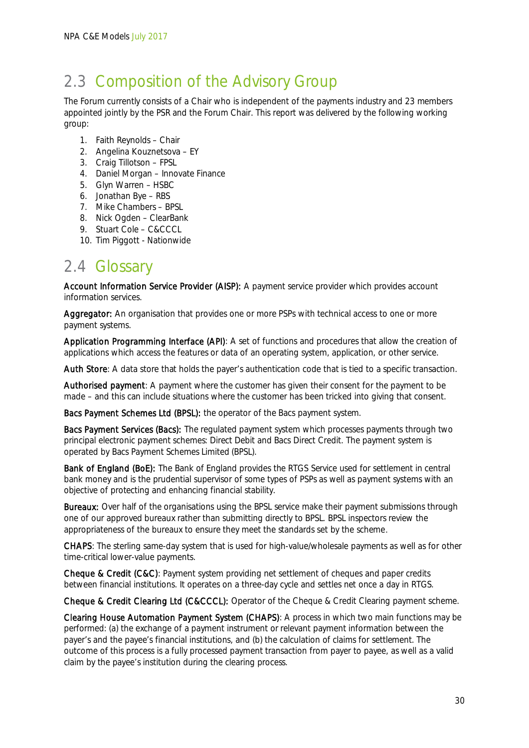# 2.3 Composition of the Advisory Group

The Forum currently consists of a Chair who is independent of the payments industry and 23 members appointed jointly by the PSR and the Forum Chair. This report was delivered by the following working group:

- 1. Faith Reynolds Chair
- 2. Angelina Kouznetsova EY
- 3. Craig Tillotson FPSL
- 4. Daniel Morgan Innovate Finance
- 5. Glyn Warren HSBC
- 6. Jonathan Bye RBS
- 7. Mike Chambers BPSL
- 8. Nick Ogden ClearBank
- 9. Stuart Cole C&CCCL
- 10. Tim Piggott Nationwide

# 2.4 Glossary

Account Information Service Provider (AISP): A payment service provider which provides account information services.

Aggregator: An organisation that provides one or more PSPs with technical access to one or more payment systems.

Application Programming Interface (API): A set of functions and procedures that allow the creation of applications which access the features or data of an operating system, application, or other service.

Auth Store: A data store that holds the payer's authentication code that is tied to a specific transaction.

Authorised payment: A payment where the customer has given their consent for the payment to be made – and this can include situations where the customer has been tricked into giving that consent.

Bacs Payment Schemes Ltd (BPSL): the operator of the Bacs payment system.

Bacs Payment Services (Bacs): The regulated payment system which processes payments through two principal electronic payment schemes: Direct Debit and Bacs Direct Credit. The payment system is operated by Bacs Payment Schemes Limited (BPSL).

Bank of England (BoE): The Bank of England provides the RTGS Service used for settlement in central bank money and is the prudential supervisor of some types of PSPs as well as payment systems with an objective of protecting and enhancing financial stability.

Bureaux: Over half of the organisations using the BPSL service make their payment submissions through one of our approved bureaux rather than submitting directly to BPSL. BPSL inspectors review the appropriateness of the bureaux to ensure they meet the standards set by the scheme.

CHAPS: The sterling same-day system that is used for high-value/wholesale payments as well as for other time-critical lower-value payments.

Cheque & Credit (C&C): Payment system providing net settlement of cheques and paper credits between financial institutions. It operates on a three-day cycle and settles net once a day in RTGS.

Cheque & Credit Clearing Ltd (C&CCCL): Operator of the Cheque & Credit Clearing payment scheme.

Clearing House Automation Payment System (CHAPS): A process in which two main functions may be performed: (a) the exchange of a payment instrument or relevant payment information between the payer's and the payee's financial institutions, and (b) the calculation of claims for settlement. The outcome of this process is a fully processed payment transaction from payer to payee, as well as a valid claim by the payee's institution during the clearing process.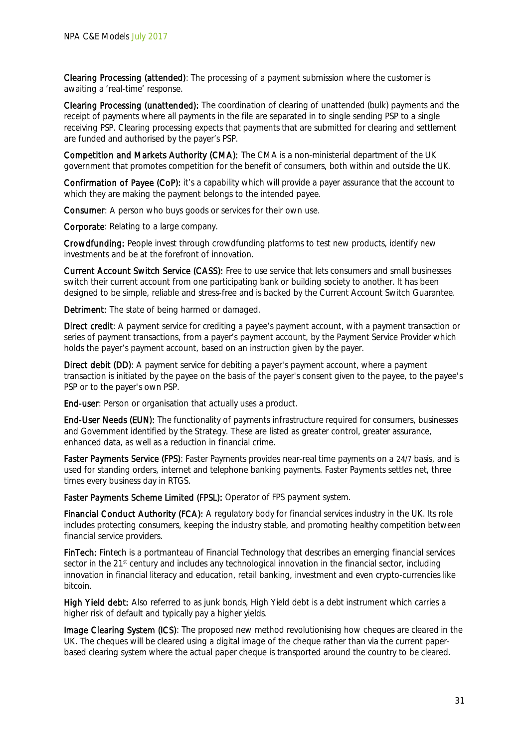Clearing Processing (attended): The processing of a payment submission where the customer is awaiting a 'real-time' response.

Clearing Processing (unattended): The coordination of clearing of unattended (bulk) payments and the receipt of payments where all payments in the file are separated in to single sending PSP to a single receiving PSP. Clearing processing expects that payments that are submitted for clearing and settlement are funded and authorised by the payer's PSP.

Competition and Markets Authority (CMA): The CMA is a non-ministerial department of the UK government that promotes competition for the benefit of consumers, both within and outside the UK.

Confirmation of Payee (CoP): it's a capability which will provide a payer assurance that the account to which they are making the payment belongs to the intended payee.

Consumer: A person who buys goods or services for their own use.

Corporate: Relating to a large company.

Crowdfunding: People invest through crowdfunding platforms to test new products, identify new investments and be at the forefront of innovation.

Current Account Switch Service (CASS): Free to use service that lets consumers and small businesses switch their current account from one participating bank or building society to another. It has been designed to be simple, reliable and stress-free and is backed by the Current Account Switch Guarantee.

Detriment: The state of being harmed or damaged.

Direct credit: A payment service for crediting a payee's payment account, with a payment transaction or series of payment transactions, from a payer's payment account, by the Payment Service Provider which holds the payer's payment account, based on an instruction given by the payer.

Direct debit (DD): A payment service for debiting a payer's payment account, where a payment transaction is initiated by the payee on the basis of the payer's consent given to the payee, to the payee's PSP or to the payer's own PSP.

End-user: Person or organisation that actually uses a product.

End-User Needs (EUN): The functionality of payments infrastructure required for consumers, businesses and Government identified by the Strategy. These are listed as greater control, greater assurance, enhanced data, as well as a reduction in financial crime.

Faster Payments Service (FPS): Faster Payments provides near-real time payments on a 24/7 basis, and is used for standing orders, internet and telephone banking payments. Faster Payments settles net, three times every business day in RTGS.

Faster Payments Scheme Limited (FPSL): Operator of FPS payment system.

Financial Conduct Authority (FCA): A regulatory body for financial services industry in the UK. Its role includes protecting consumers, keeping the industry stable, and promoting healthy competition between financial service providers.

FinTech: Fintech is a portmanteau of Financial Technology that describes an emerging financial services sector in the 21<sup>st</sup> century and includes any technological innovation in the financial sector, including innovation in financial literacy and education, retail banking, investment and even crypto-currencies like bitcoin.

High Yield debt: Also referred to as junk bonds, High Yield debt is a debt instrument which carries a higher risk of default and typically pay a higher yields.

Image Clearing System (ICS): The proposed new method revolutionising how cheques are cleared in the UK. The cheques will be cleared using a digital image of the cheque rather than via the current paperbased clearing system where the actual paper cheque is transported around the country to be cleared.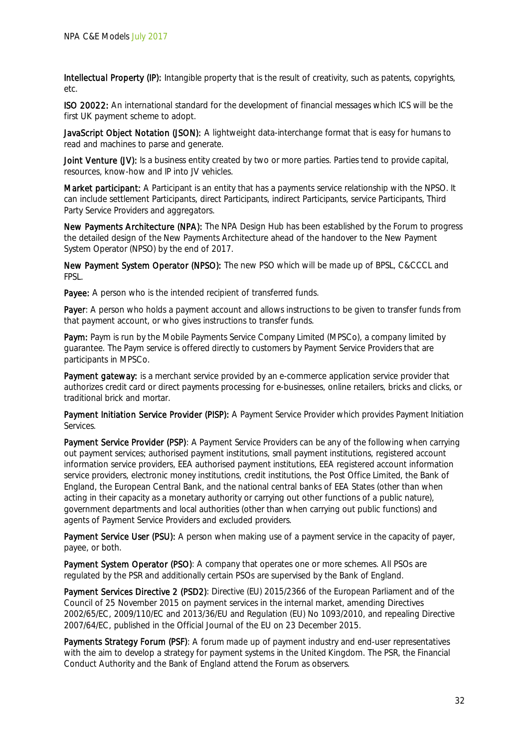Intellectual Property (IP): Intangible property that is the result of creativity, such as patents, copyrights, etc.

ISO 20022: An international standard for the development of financial messages which ICS will be the first UK payment scheme to adopt.

JavaScript Object Notation (JSON): A lightweight data-interchange format that is easy for humans to read and machines to parse and generate.

Joint Venture (JV): Is a business entity created by two or more parties. Parties tend to provide capital, resources, know-how and IP into JV vehicles.

Market participant: A Participant is an entity that has a payments service relationship with the NPSO. It can include settlement Participants, direct Participants, indirect Participants, service Participants, Third Party Service Providers and aggregators.

New Payments Architecture (NPA): The NPA Design Hub has been established by the Forum to progress the detailed design of the New Payments Architecture ahead of the handover to the New Payment System Operator (NPSO) by the end of 2017.

New Payment System Operator (NPSO): The new PSO which will be made up of BPSL, C&CCCL and FPSL.

Payee: A person who is the intended recipient of transferred funds.

Payer: A person who holds a payment account and allows instructions to be given to transfer funds from that payment account, or who gives instructions to transfer funds.

Paym: Paym is run by the Mobile Payments Service Company Limited (MPSCo), a company limited by guarantee. The Paym service is offered directly to customers by Payment Service Providers that are participants in MPSCo.

Payment gateway: is a merchant service provided by an e-commerce application service provider that authorizes credit card or direct payments processing for e-businesses, online retailers, bricks and clicks, or traditional brick and mortar.

Payment Initiation Service Provider (PISP): A Payment Service Provider which provides Payment Initiation Services.

Payment Service Provider (PSP): A Payment Service Providers can be any of the following when carrying out payment services; authorised payment institutions, small payment institutions, registered account information service providers, EEA authorised payment institutions, EEA registered account information service providers, electronic money institutions, credit institutions, the Post Office Limited, the Bank of England, the European Central Bank, and the national central banks of EEA States (other than when acting in their capacity as a monetary authority or carrying out other functions of a public nature), government departments and local authorities (other than when carrying out public functions) and agents of Payment Service Providers and excluded providers.

Payment Service User (PSU): A person when making use of a payment service in the capacity of payer, payee, or both.

Payment System Operator (PSO): A company that operates one or more schemes. All PSOs are regulated by the PSR and additionally certain PSOs are supervised by the Bank of England.

Payment Services Directive 2 (PSD2): Directive (EU) 2015/2366 of the European Parliament and of the Council of 25 November 2015 on payment services in the internal market, amending Directives 2002/65/EC, 2009/110/EC and 2013/36/EU and Regulation (EU) No 1093/2010, and repealing Directive 2007/64/EC, published in the Official Journal of the EU on 23 December 2015.

Payments Strategy Forum (PSF): A forum made up of payment industry and end-user representatives with the aim to develop a strategy for payment systems in the United Kingdom. The PSR, the Financial Conduct Authority and the Bank of England attend the Forum as observers.